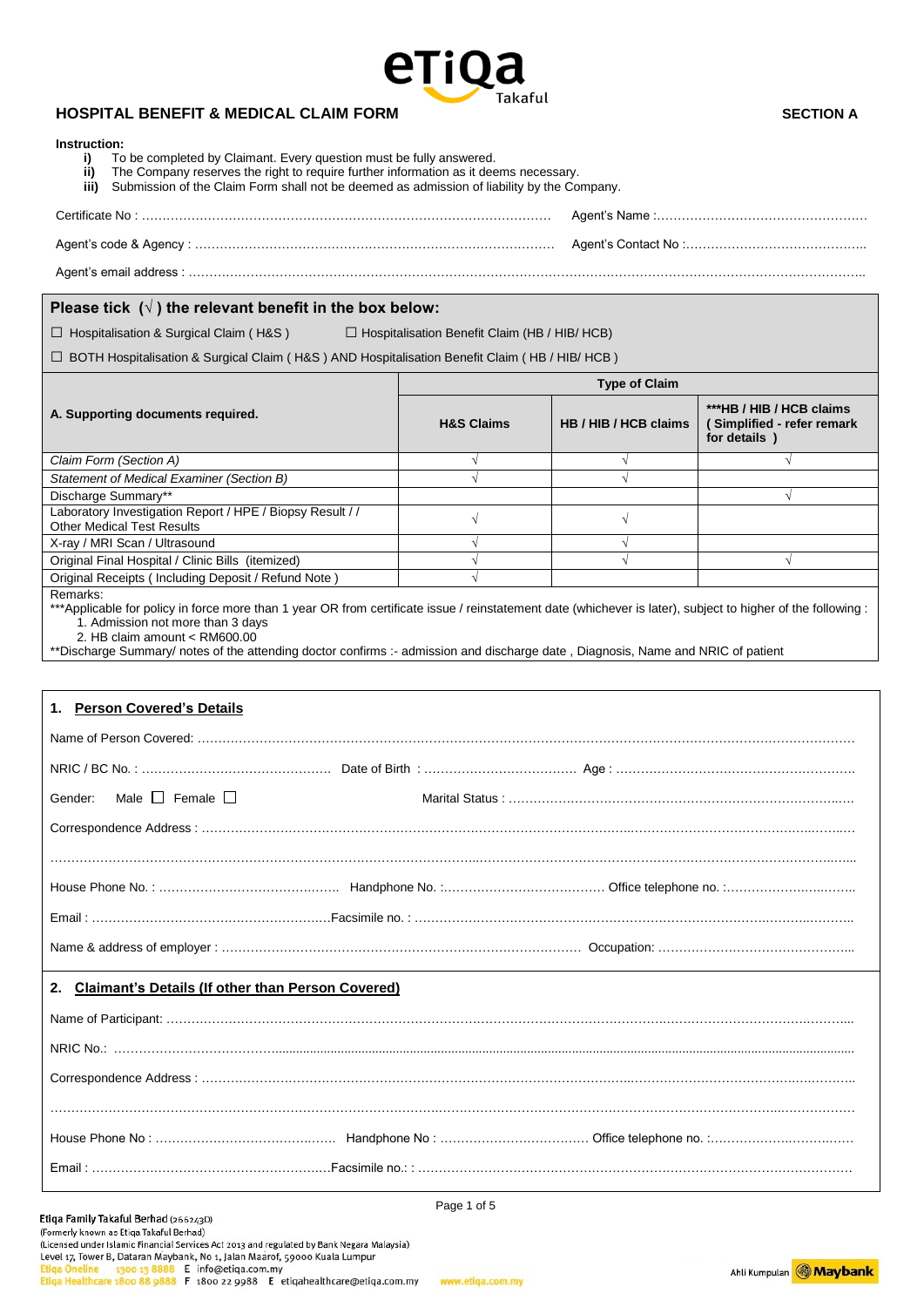

### **HOSPITAL BENEFIT & MEDICAL CLAIM FORM SECTION A**

| Please tick $(\sqrt{})$ the relevant benefit in the box below:                                                                                                            |                                                      |                       |                                                                                                                                                              |  |
|---------------------------------------------------------------------------------------------------------------------------------------------------------------------------|------------------------------------------------------|-----------------------|--------------------------------------------------------------------------------------------------------------------------------------------------------------|--|
| $\Box$ Hospitalisation & Surgical Claim (H&S)                                                                                                                             | $\Box$ Hospitalisation Benefit Claim (HB / HIB/ HCB) |                       |                                                                                                                                                              |  |
| □ BOTH Hospitalisation & Surgical Claim (H&S) AND Hospitalisation Benefit Claim (HB / HIB/ HCB)                                                                           |                                                      |                       |                                                                                                                                                              |  |
|                                                                                                                                                                           | <b>Type of Claim</b>                                 |                       |                                                                                                                                                              |  |
| A. Supporting documents required.                                                                                                                                         | <b>H&amp;S Claims</b>                                | HB / HIB / HCB claims | ***HB / HIB / HCB claims<br>(Simplified - refer remark<br>for details )                                                                                      |  |
| Claim Form (Section A)                                                                                                                                                    | $\sqrt{}$                                            | $\sqrt{}$             | $\sqrt{ }$                                                                                                                                                   |  |
| Statement of Medical Examiner (Section B)                                                                                                                                 |                                                      | $\sqrt{ }$            |                                                                                                                                                              |  |
| Discharge Summary**<br>Laboratory Investigation Report / HPE / Biopsy Result / /<br><b>Other Medical Test Results</b>                                                     | $\sqrt{ }$                                           | $\sqrt{ }$            | $\sqrt{ }$                                                                                                                                                   |  |
| X-ray / MRI Scan / Ultrasound                                                                                                                                             | $\sqrt{ }$                                           | $\sqrt{}$             |                                                                                                                                                              |  |
| Original Final Hospital / Clinic Bills (itemized)<br>Original Receipts (Including Deposit / Refund Note)                                                                  | $\sqrt{}$                                            | $\sqrt{}$             | $\sqrt{}$                                                                                                                                                    |  |
| 1. Admission not more than 3 days<br>2. HB claim amount < RM600.00                                                                                                        |                                                      |                       |                                                                                                                                                              |  |
| **Discharge Summary/ notes of the attending doctor confirms :- admission and discharge date, Diagnosis, Name and NRIC of patient<br><b>Person Covered's Details</b><br>1. |                                                      |                       | ***Applicable for policy in force more than 1 year OR from certificate issue / reinstatement date (whichever is later), subject to higher of the following : |  |
|                                                                                                                                                                           |                                                      |                       |                                                                                                                                                              |  |
|                                                                                                                                                                           |                                                      |                       |                                                                                                                                                              |  |
| Male $\Box$ Female $\Box$                                                                                                                                                 |                                                      |                       |                                                                                                                                                              |  |
| Gender:                                                                                                                                                                   |                                                      |                       |                                                                                                                                                              |  |
|                                                                                                                                                                           |                                                      |                       |                                                                                                                                                              |  |
|                                                                                                                                                                           |                                                      |                       |                                                                                                                                                              |  |
|                                                                                                                                                                           |                                                      |                       |                                                                                                                                                              |  |
|                                                                                                                                                                           |                                                      |                       |                                                                                                                                                              |  |
|                                                                                                                                                                           |                                                      |                       |                                                                                                                                                              |  |
|                                                                                                                                                                           |                                                      |                       |                                                                                                                                                              |  |
|                                                                                                                                                                           |                                                      |                       |                                                                                                                                                              |  |
|                                                                                                                                                                           |                                                      |                       |                                                                                                                                                              |  |
| 2. Claimant's Details (If other than Person Covered)                                                                                                                      |                                                      |                       |                                                                                                                                                              |  |

Page 1 of 5

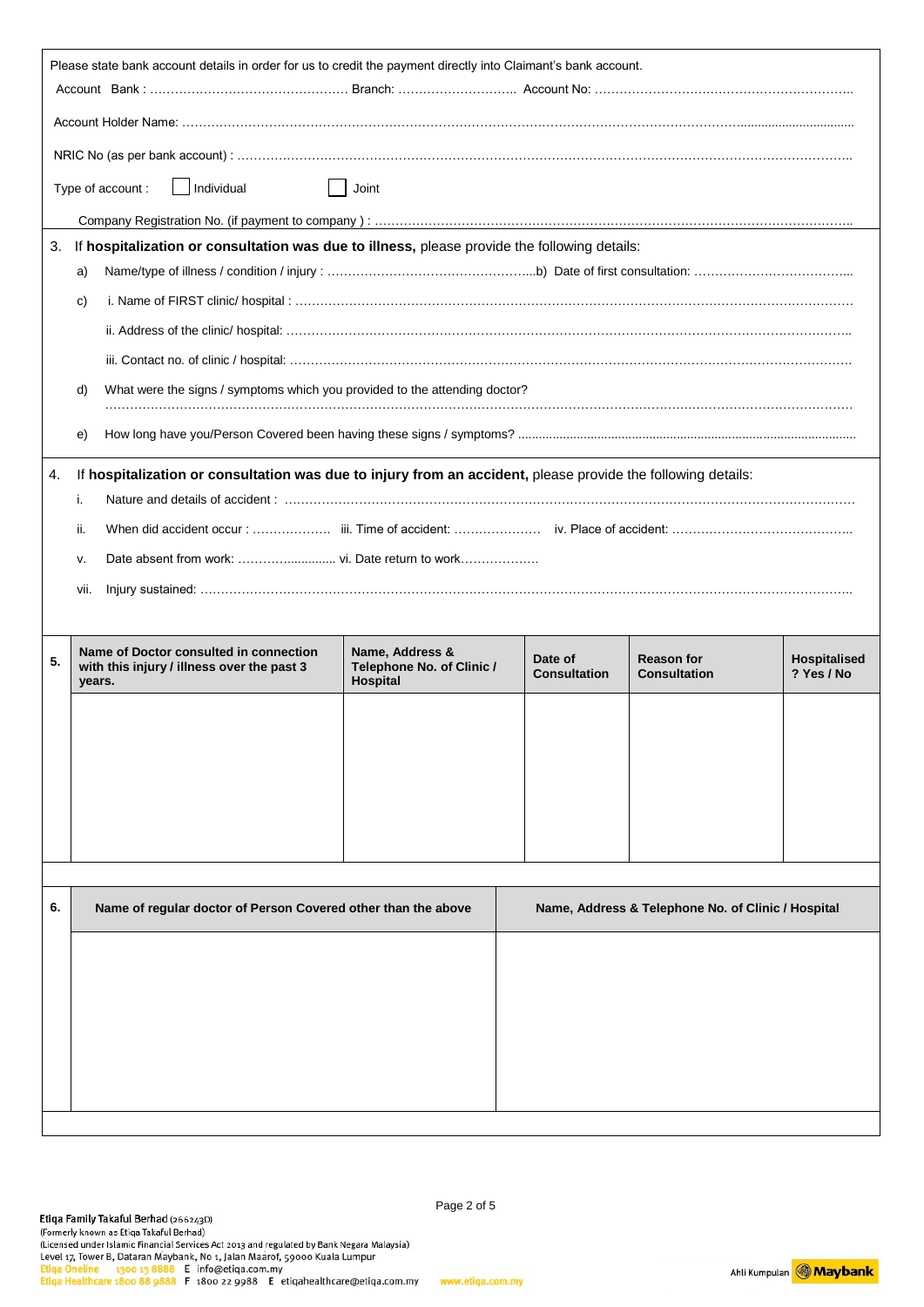| Please state bank account details in order for us to credit the payment directly into Claimant's bank account. |                                                                                              |                                                                                                              |                                                                 |                                |                                                    |                                   |
|----------------------------------------------------------------------------------------------------------------|----------------------------------------------------------------------------------------------|--------------------------------------------------------------------------------------------------------------|-----------------------------------------------------------------|--------------------------------|----------------------------------------------------|-----------------------------------|
|                                                                                                                |                                                                                              |                                                                                                              |                                                                 |                                |                                                    |                                   |
|                                                                                                                |                                                                                              |                                                                                                              |                                                                 |                                |                                                    |                                   |
|                                                                                                                |                                                                                              |                                                                                                              |                                                                 |                                |                                                    |                                   |
|                                                                                                                |                                                                                              | Individual<br>Type of account:                                                                               | Joint                                                           |                                |                                                    |                                   |
|                                                                                                                |                                                                                              |                                                                                                              |                                                                 |                                |                                                    |                                   |
| 3.                                                                                                             | If hospitalization or consultation was due to illness, please provide the following details: |                                                                                                              |                                                                 |                                |                                                    |                                   |
|                                                                                                                | a)<br>C)                                                                                     |                                                                                                              |                                                                 |                                |                                                    |                                   |
|                                                                                                                |                                                                                              |                                                                                                              |                                                                 |                                |                                                    |                                   |
|                                                                                                                |                                                                                              |                                                                                                              |                                                                 |                                |                                                    |                                   |
|                                                                                                                | d)                                                                                           | What were the signs / symptoms which you provided to the attending doctor?                                   |                                                                 |                                |                                                    |                                   |
|                                                                                                                |                                                                                              |                                                                                                              |                                                                 |                                |                                                    |                                   |
|                                                                                                                | e)                                                                                           |                                                                                                              |                                                                 |                                |                                                    |                                   |
| 4.                                                                                                             |                                                                                              | If hospitalization or consultation was due to injury from an accident, please provide the following details: |                                                                 |                                |                                                    |                                   |
|                                                                                                                | i.                                                                                           |                                                                                                              |                                                                 |                                |                                                    |                                   |
|                                                                                                                | ii.                                                                                          |                                                                                                              |                                                                 |                                |                                                    |                                   |
|                                                                                                                | v.                                                                                           |                                                                                                              |                                                                 |                                |                                                    |                                   |
|                                                                                                                | vii.                                                                                         |                                                                                                              |                                                                 |                                |                                                    |                                   |
|                                                                                                                |                                                                                              |                                                                                                              |                                                                 |                                |                                                    |                                   |
| 5.                                                                                                             | years.                                                                                       | Name of Doctor consulted in connection<br>with this injury / illness over the past 3                         | Name, Address &<br>Telephone No. of Clinic /<br><b>Hospital</b> | Date of<br><b>Consultation</b> | <b>Reason for</b><br><b>Consultation</b>           | <b>Hospitalised</b><br>? Yes / No |
|                                                                                                                |                                                                                              |                                                                                                              |                                                                 |                                |                                                    |                                   |
|                                                                                                                |                                                                                              |                                                                                                              |                                                                 |                                |                                                    |                                   |
|                                                                                                                |                                                                                              |                                                                                                              |                                                                 |                                |                                                    |                                   |
|                                                                                                                |                                                                                              |                                                                                                              |                                                                 |                                |                                                    |                                   |
|                                                                                                                |                                                                                              |                                                                                                              |                                                                 |                                |                                                    |                                   |
|                                                                                                                |                                                                                              |                                                                                                              |                                                                 |                                |                                                    |                                   |
|                                                                                                                |                                                                                              |                                                                                                              |                                                                 |                                |                                                    |                                   |
| 6.                                                                                                             |                                                                                              | Name of regular doctor of Person Covered other than the above                                                |                                                                 |                                | Name, Address & Telephone No. of Clinic / Hospital |                                   |
|                                                                                                                |                                                                                              |                                                                                                              |                                                                 |                                |                                                    |                                   |
|                                                                                                                |                                                                                              |                                                                                                              |                                                                 |                                |                                                    |                                   |
|                                                                                                                |                                                                                              |                                                                                                              |                                                                 |                                |                                                    |                                   |
|                                                                                                                |                                                                                              |                                                                                                              |                                                                 |                                |                                                    |                                   |
|                                                                                                                |                                                                                              |                                                                                                              |                                                                 |                                |                                                    |                                   |
|                                                                                                                |                                                                                              |                                                                                                              |                                                                 |                                |                                                    |                                   |
|                                                                                                                |                                                                                              |                                                                                                              |                                                                 |                                |                                                    |                                   |

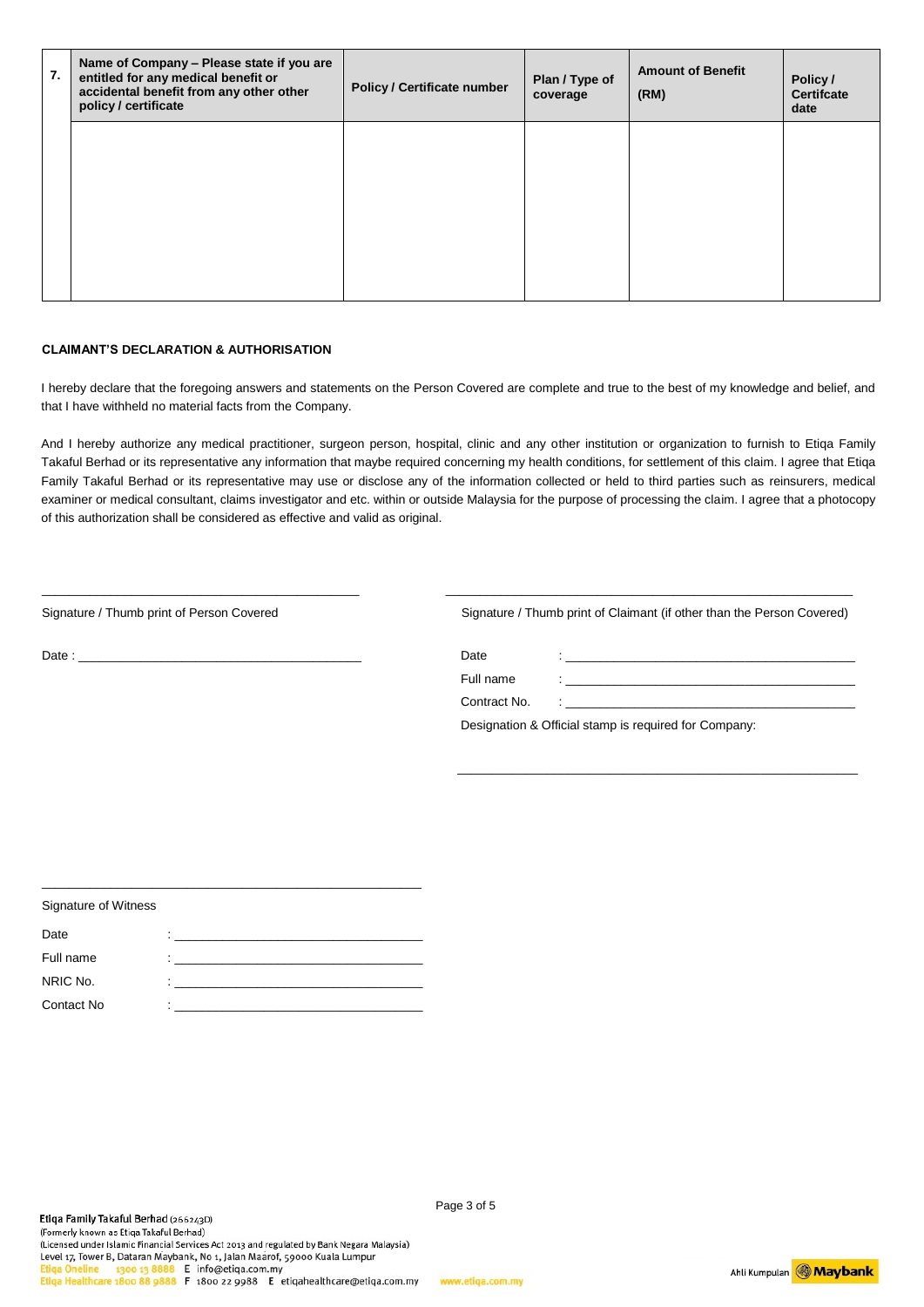| 7. | Name of Company - Please state if you are<br>entitled for any medical benefit or<br>accidental benefit from any other other<br>policy / certificate | <b>Policy / Certificate number</b> | Plan / Type of<br>coverage | <b>Amount of Benefit</b><br>(RM) | Policy /<br><b>Certifcate</b><br>date |
|----|-----------------------------------------------------------------------------------------------------------------------------------------------------|------------------------------------|----------------------------|----------------------------------|---------------------------------------|
|    |                                                                                                                                                     |                                    |                            |                                  |                                       |
|    |                                                                                                                                                     |                                    |                            |                                  |                                       |
|    |                                                                                                                                                     |                                    |                            |                                  |                                       |
|    |                                                                                                                                                     |                                    |                            |                                  |                                       |

#### **CLAIMANT'S DECLARATION & AUTHORISATION**

I hereby declare that the foregoing answers and statements on the Person Covered are complete and true to the best of my knowledge and belief, and that I have withheld no material facts from the Company.

And I hereby authorize any medical practitioner, surgeon person, hospital, clinic and any other institution or organization to furnish to Etiqa Family Takaful Berhad or its representative any information that maybe required concerning my health conditions, for settlement of this claim. I agree that Etiqa Family Takaful Berhad or its representative may use or disclose any of the information collected or held to third parties such as reinsurers, medical examiner or medical consultant, claims investigator and etc. within or outside Malaysia for the purpose of processing the claim. I agree that a photocopy of this authorization shall be considered as effective and valid as original.

| Signature / Thumb print of Claimant (if other than the Person Covered) |                                                                                                    |  |
|------------------------------------------------------------------------|----------------------------------------------------------------------------------------------------|--|
| Date                                                                   | and the state of the state of the state of the state of the state of the state of the state of the |  |
| Full name                                                              | The control of the control of the control of the control of the control of the control of          |  |
| Contract No.                                                           | the contract of the contract of the contract of the contract of the contract of                    |  |
|                                                                        | Designation & Official stamp is required for Company:                                              |  |
|                                                                        |                                                                                                    |  |
|                                                                        |                                                                                                    |  |
|                                                                        |                                                                                                    |  |
|                                                                        |                                                                                                    |  |

\_\_\_\_\_\_\_\_\_\_\_\_\_\_\_\_\_\_\_\_\_\_\_\_\_\_\_\_\_\_\_\_\_\_\_\_\_\_\_\_\_\_\_\_\_\_ \_\_\_\_\_\_\_\_\_\_\_\_\_\_\_\_\_\_\_\_\_\_\_\_\_\_\_\_\_\_\_\_\_\_\_\_\_\_\_\_\_\_\_\_\_\_\_\_\_\_\_\_\_\_\_\_\_\_\_

| Signature of Witness |                |
|----------------------|----------------|
| Date                 |                |
| Full name            | $\blacksquare$ |
| NRIC No.             |                |
| Contact No           | ٠              |

\_\_\_\_\_\_\_\_\_\_\_\_\_\_\_\_\_\_\_\_\_\_\_\_\_\_\_\_\_\_\_\_\_\_\_\_\_\_\_\_\_\_\_\_\_\_\_\_\_\_\_\_\_\_\_

Ahli Kumpulan **Maybank**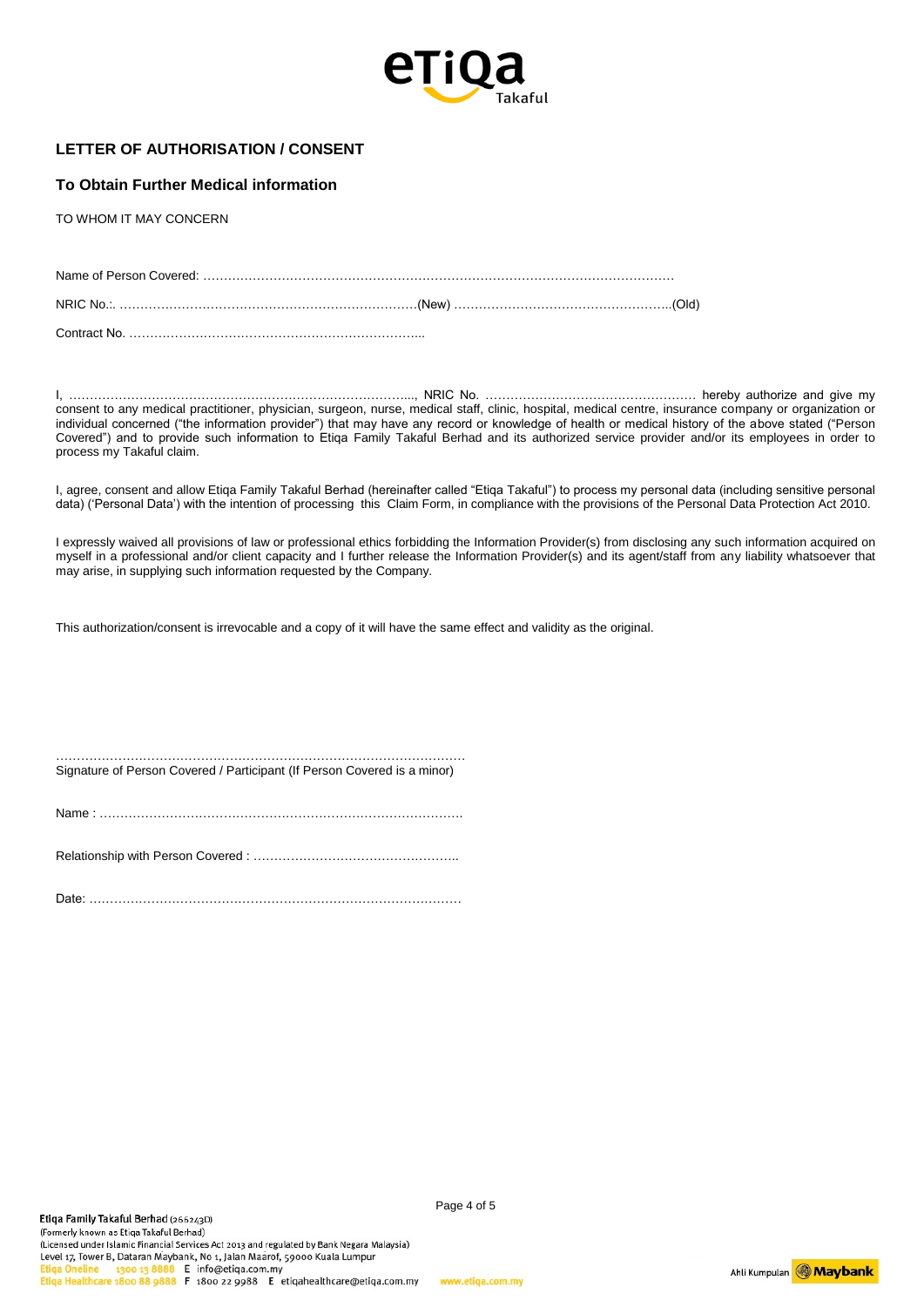

# **LETTER OF AUTHORISATION / CONSENT**

#### **To Obtain Further Medical information**

TO WHOM IT MAY CONCERN

Contract No. ……………………………………………………………...

I, ………………………………………………………………………..., NRIC No. …………………………………………… hereby authorize and give my consent to any medical practitioner, physician, surgeon, nurse, medical staff, clinic, hospital, medical centre, insurance company or organization or individual concerned ("the information provider") that may have any record or knowledge of health or medical history of the above stated ("Person Covered") and to provide such information to Etiqa Family Takaful Berhad and its authorized service provider and/or its employees in order to process my Takaful claim.

I, agree, consent and allow Etiqa Family Takaful Berhad (hereinafter called "Etiqa Takaful") to process my personal data (including sensitive personal data) ('Personal Data') with the intention of processing this Claim Form, in compliance with the provisions of the Personal Data Protection Act 2010.

I expressly waived all provisions of law or professional ethics forbidding the Information Provider(s) from disclosing any such information acquired on myself in a professional and/or client capacity and I further release the Information Provider(s) and its agent/staff from any liability whatsoever that may arise, in supplying such information requested by the Company.

This authorization/consent is irrevocable and a copy of it will have the same effect and validity as the original.

……………………………………………………………………………………… Signature of Person Covered / Participant (If Person Covered is a minor)

Name : …………………………………………………………………………….

Relationship with Person Covered : …………………………………………..

Date: ………………………………………………………………………………